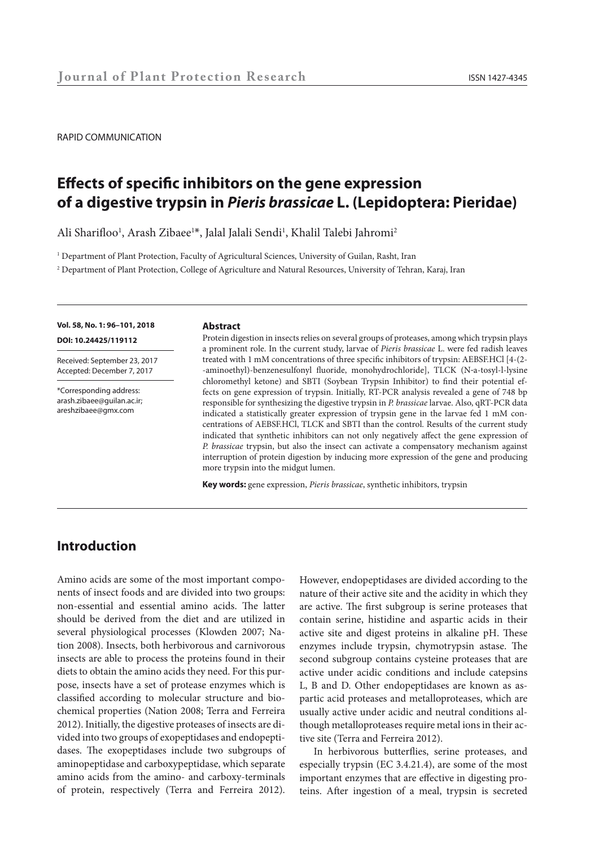#### RAPID COMMUNICATION

# **Effects of specific inhibitors on the gene expression of a digestive trypsin in** *Pieris brassicae* **L. (Lepidoptera: Pieridae)**

Ali Sharifloo<sup>1</sup>, Arash Zibaee<sup>1\*</sup>, Jalal Jalali Sendi<sup>1</sup>, Khalil Talebi Jahromi<sup>2</sup>

1 Department of Plant Protection, Faculty of Agricultural Sciences, University of Guilan, Rasht, Iran

2 Department of Plant Protection, College of Agriculture and Natural Resources, University of Tehran, Karaj, Iran

## **Vol. 58, No. 1: 96–101, 2018 DOI: 10.24425/119112**

Received: September 23, 2017 Accepted: December 7, 2017

\*Corresponding address: arash.zibaee@guilan.ac.ir; areshzibaee@gmx.com

#### **Abstract**

Protein digestion in insects relies on several groups of proteases, among which trypsin plays a prominent role. In the current study, larvae of *Pieris brassicae* L. were fed radish leaves treated with 1 mM concentrations of three specific inhibitors of trypsin: AEBSF.HCl [4-(2- -aminoethyl)-benzenesulfonyl fluoride, monohydrochloride], TLCK (N-a-tosyl-l-lysine chloromethyl ketone) and SBTI (Soybean Trypsin Inhibitor) to find their potential effects on gene expression of trypsin. Initially, RT-PCR analysis revealed a gene of 748 bp responsible for synthesizing the digestive trypsin in *P. brassicae* larvae. Also, qRT-PCR data indicated a statistically greater expression of trypsin gene in the larvae fed 1 mM concentrations of AEBSF.HCl, TLCK and SBTI than the control. Results of the current study indicated that synthetic inhibitors can not only negatively affect the gene expression of *P. brassicae* trypsin, but also the insect can activate a compensatory mechanism against interruption of protein digestion by inducing more expression of the gene and producing more trypsin into the midgut lumen.

**Key words:** gene expression, *Pieris brassicae*, synthetic inhibitors, trypsin

## **Introduction**

Amino acids are some of the most important components of insect foods and are divided into two groups: non-essential and essential amino acids. The latter should be derived from the diet and are utilized in several physiological processes (Klowden 2007; Nation 2008). Insects, both herbivorous and carnivorous insects are able to process the proteins found in their diets to obtain the amino acids they need. For this purpose, insects have a set of protease enzymes which is classified according to molecular structure and biochemical properties (Nation 2008; Terra and Ferreira 2012). Initially, the digestive proteases of insects are divided into two groups of exopeptidases and endopeptidases. The exopeptidases include two subgroups of aminopeptidase and carboxypeptidase, which separate amino acids from the amino- and carboxy-terminals of protein, respectively (Terra and Ferreira 2012).

However, endopeptidases are divided according to the nature of their active site and the acidity in which they are active. The first subgroup is serine proteases that contain serine, histidine and aspartic acids in their active site and digest proteins in alkaline pH. These enzymes include trypsin, chymotrypsin astase. The second subgroup contains cysteine proteases that are active under acidic conditions and include catepsins L, B and D. Other endopeptidases are known as aspartic acid proteases and metalloproteases, which are usually active under acidic and neutral conditions although metalloproteases require metal ions in their active site (Terra and Ferreira 2012).

In herbivorous butterflies, serine proteases, and especially trypsin (EC 3.4.21.4), are some of the most important enzymes that are effective in digesting proteins. After ingestion of a meal, trypsin is secreted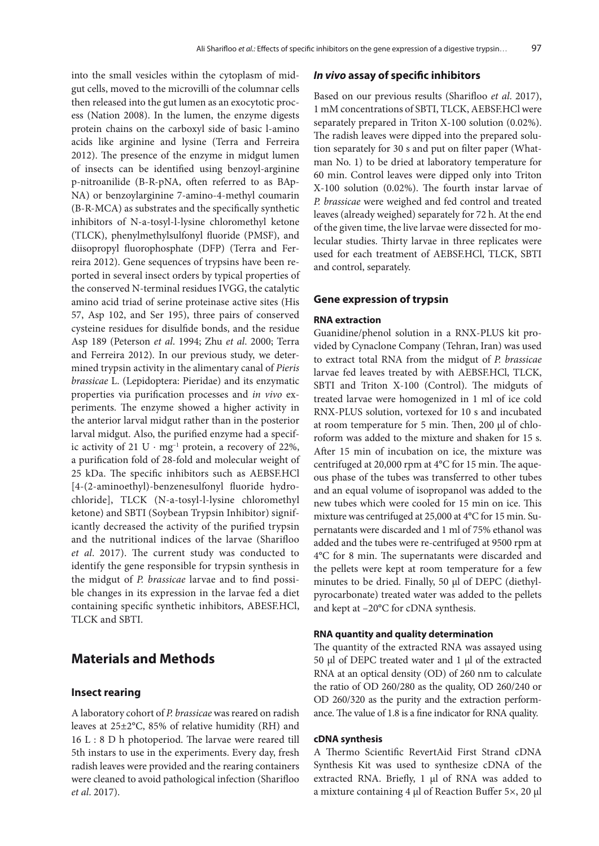into the small vesicles within the cytoplasm of midgut cells, moved to the microvilli of the columnar cells then released into the gut lumen as an exocytotic process (Nation 2008). In the lumen, the enzyme digests protein chains on the carboxyl side of basic l-amino acids like arginine and lysine (Terra and Ferreira 2012). The presence of the enzyme in midgut lumen of insects can be identified using benzoyl-arginine p-nitroanilide (B-R-pNA, often referred to as BAp-NA) or benzoylarginine 7-amino-4-methyl coumarin (B-R-MCA) as substrates and the specifically synthetic inhibitors of N-a-tosyl-l-lysine chloromethyl ketone (TLCK), phenylmethylsulfonyl fluoride (PMSF), and diisopropyl fluorophosphate (DFP) (Terra and Ferreira 2012). Gene sequences of trypsins have been reported in several insect orders by typical properties of the conserved N-terminal residues IVGG, the catalytic amino acid triad of serine proteinase active sites (His 57, Asp 102, and Ser 195), three pairs of conserved cysteine residues for disulfide bonds, and the residue Asp 189 (Peterson *et al*. 1994; Zhu *et al*. 2000; Terra and Ferreira 2012). In our previous study, we determined trypsin activity in the alimentary canal of *Pieris brassicae* L. (Lepidoptera: Pieridae) and its enzymatic properties via purification processes and *in vivo* experiments. The enzyme showed a higher activity in the anterior larval midgut rather than in the posterior larval midgut. Also, the purified enzyme had a specific activity of 21 U ⋅ mg<sup>-1</sup> protein, a recovery of 22%, a purification fold of 28-fold and molecular weight of 25 kDa. The specific inhibitors such as AEBSF.HCl [4-(2-aminoethyl)-benzenesulfonyl fluoride hydrochloride], TLCK (N-a-tosyl-l-lysine chloromethyl ketone) and SBTI (Soybean Trypsin Inhibitor) significantly decreased the activity of the purified trypsin and the nutritional indices of the larvae (Sharifloo *et al*. 2017). The current study was conducted to identify the gene responsible for trypsin synthesis in the midgut of *P. brassicae* larvae and to find possible changes in its expression in the larvae fed a diet containing specific synthetic inhibitors, ABESF.HCl, TLCK and SBTI.

## **Materials and Methods**

## **Insect rearing**

A laboratory cohort of *P. brassicae* was reared on radish leaves at 25±2°C, 85% of relative humidity (RH) and 16 L : 8 D h photoperiod. The larvae were reared till 5th instars to use in the experiments. Every day, fresh radish leaves were provided and the rearing containers were cleaned to avoid pathological infection (Sharifloo *et al*. 2017).

### *In vivo* **assay of specific inhibitors**

Based on our previous results (Sharifloo *et al*. 2017), 1 mM concentrations of SBTI, TLCK, AEBSF.HCl were separately prepared in Triton X-100 solution (0.02%). The radish leaves were dipped into the prepared solution separately for 30 s and put on filter paper (Whatman No. 1) to be dried at laboratory temperature for 60 min. Control leaves were dipped only into Triton X-100 solution (0.02%). The fourth instar larvae of *P. brassicae* were weighed and fed control and treated leaves (already weighed) separately for 72 h. At the end of the given time, the live larvae were dissected for molecular studies. Thirty larvae in three replicates were used for each treatment of AEBSF.HCl, TLCK, SBTI and control, separately.

### **Gene expression of trypsin**

## **RNA extraction**

Guanidine/phenol solution in a RNX-PLUS kit provided by Cynaclone Company (Tehran, Iran) was used to extract total RNA from the midgut of *P. brassicae*  larvae fed leaves treated by with AEBSF.HCl, TLCK, SBTI and Triton X-100 (Control). The midguts of treated larvae were homogenized in 1 ml of ice cold RNX-PLUS solution, vortexed for 10 s and incubated at room temperature for 5 min. Then, 200 µl of chloroform was added to the mixture and shaken for 15 s. After 15 min of incubation on ice, the mixture was centrifuged at 20,000 rpm at 4°C for 15 min. The aqueous phase of the tubes was transferred to other tubes and an equal volume of isopropanol was added to the new tubes which were cooled for 15 min on ice. This mixture was centrifuged at 25,000 at 4°C for 15 min. Supernatants were discarded and 1 ml of 75% ethanol was added and the tubes were re-centrifuged at 9500 rpm at 4°C for 8 min. The supernatants were discarded and the pellets were kept at room temperature for a few minutes to be dried. Finally, 50 µl of DEPC (diethylpyrocarbonate) treated water was added to the pellets and kept at –20°C for cDNA synthesis.

## **RNA quantity and quality determination**

The quantity of the extracted RNA was assayed using 50 μl of DEPC treated water and 1 μl of the extracted RNA at an optical density (OD) of 260 nm to calculate the ratio of OD 260/280 as the quality, OD 260/240 or OD 260/320 as the purity and the extraction performance. The value of 1.8 is a fine indicator for RNA quality.

#### **cDNA synthesis**

A Thermo Scientific RevertAid First Strand cDNA Synthesis Kit was used to synthesize cDNA of the extracted RNA. Briefly, 1 µl of RNA was added to a mixture containing 4 µl of Reaction Buffer 5×, 20 µl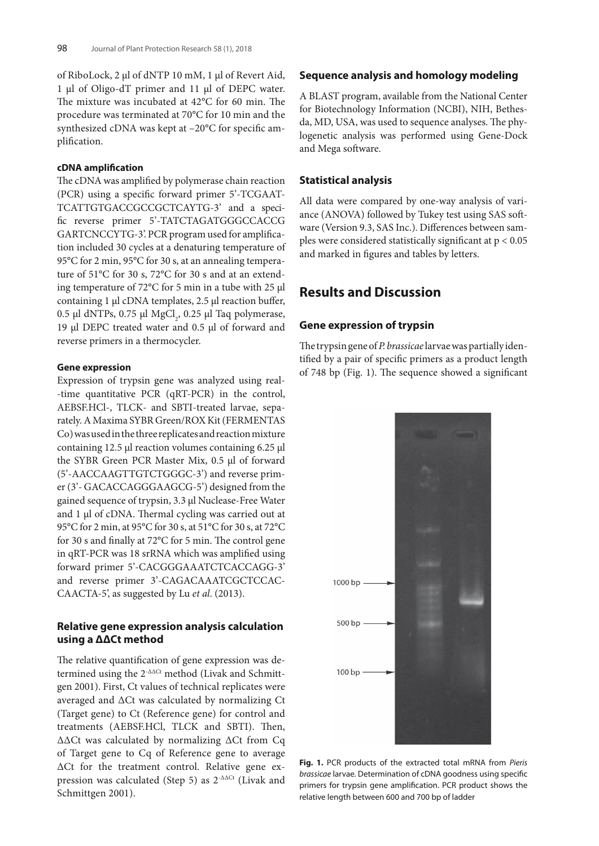of RiboLock, 2 µl of dNTP 10 mM, 1 µl of Revert Aid, 1 µl of Oligo-dT primer and 11 µl of DEPC water. The mixture was incubated at 42°C for 60 min. The procedure was terminated at 70°C for 10 min and the synthesized cDNA was kept at –20°C for specific amplification.

## **cDNA amplification**

The cDNA was amplified by polymerase chain reaction (PCR) using a specific forward primer 5'-TCGAAT-TCATTGTGACCGCCGCTCAYTG-3' and a specific reverse primer 5'-TATCTAGATGGGCCACCG GARTCNCCYTG-3'. PCR program used for amplification included 30 cycles at a denaturing temperature of 95°C for 2 min, 95°C for 30 s, at an annealing temperature of 51°C for 30 s, 72°C for 30 s and at an extending temperature of 72°C for 5 min in a tube with 25 µl containing 1 µl cDNA templates, 2.5 µl reaction buffer,  $0.5$  µl dNTPs,  $0.75$  µl  $MgCl<sub>2</sub>$ ,  $0.25$  µl Taq polymerase, 19 µl DEPC treated water and 0.5 µl of forward and reverse primers in a thermocycler.

## **Gene expression**

Expression of trypsin gene was analyzed using real- -time quantitative PCR (qRT-PCR) in the control, AEBSF.HCl-, TLCK- and SBTI-treated larvae, separately. A Maxima SYBR Green/ROX Kit (FERMENTAS Co) was used in the three replicates and reaction mixture containing 12.5 μl reaction volumes containing 6.25 µl the SYBR Green PCR Master Mix, 0.5 µl of forward (5'-AACCAAGTTGTCTGGGC-3') and reverse primer (3'- GACACCAGGGAAGCG-5') designed from the gained sequence of trypsin, 3.3 µl Nuclease-Free Water and 1 µl of cDNA. Thermal cycling was carried out at 95°C for 2 min, at 95°C for 30 s, at 51°C for 30 s, at 72°C for 30 s and finally at 72°C for 5 min. The control gene in qRT-PCR was 18 srRNA which was amplified using forward primer 5'-CACGGGAAATCTCACCAGG-3' and reverse primer 3'-CAGACAAATCGCTCCAC-CAACTA-5', as suggested by Lu *et al*. (2013).

## **Relative gene expression analysis calculation using a ΔΔCt method**

The relative quantification of gene expression was determined using the 2<sup>-ΔΔCt</sup> method (Livak and Schmittgen 2001). First, Ct values of technical replicates were averaged and ΔCt was calculated by normalizing Ct (Target gene) to Ct (Reference gene) for control and treatments (AEBSF.HCl, TLCK and SBTI). Then, ΔΔCt was calculated by normalizing ΔCt from Cq of Target gene to Cq of Reference gene to average ΔCt for the treatment control. Relative gene expression was calculated (Step 5) as 2-ΔΔCt (Livak and Schmittgen 2001).

## **Sequence analysis and homology modeling**

A BLAST program, available from the National Center for Biotechnology Information (NCBI), NIH, Bethesda, MD, USA, was used to sequence analyses. The phylogenetic analysis was performed using Gene-Dock and Mega software.

## **Statistical analysis**

All data were compared by one-way analysis of variance (ANOVA) followed by Tukey test using SAS software (Version 9.3, SAS Inc.). Differences between samples were considered statistically significant at p < 0.05 and marked in figures and tables by letters.

## **Results and Discussion**

## **Gene expression of trypsin**

The trypsin gene of *P. brassicae* larvae was partially identified by a pair of specific primers as a product length of 748 bp (Fig. 1). The sequence showed a significant



**Fig. 1.** PCR products of the extracted total mRNA from *Pieris brassicae* larvae. Determination of cDNA goodness using specific primers for trypsin gene amplification. PCR product shows the relative length between 600 and 700 bp of ladder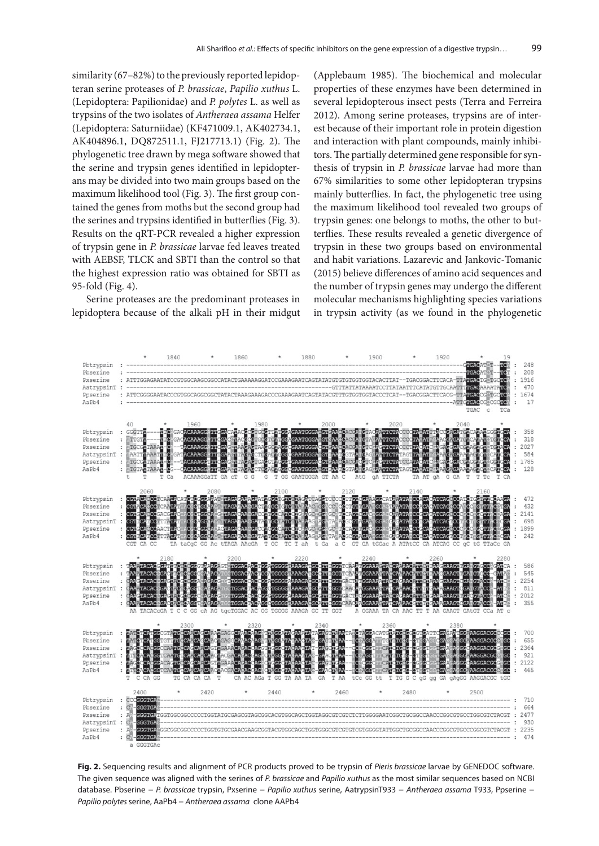similarity (67–82%) to the previously reported lepidopteran serine proteases of *P. brassicae*, *Papilio xuthus* L. (Lepidoptera: Papilionidae) and *P. polytes* L. as well as trypsins of the two isolates of *Antheraea assama* Helfer (Lepidoptera: Saturniidae) (KF471009.1, AK402734.1, AK404896.1, DQ872511.1, FJ217713.1) (Fig. 2). The phylogenetic tree drawn by mega software showed that the serine and trypsin genes identified in lepidopterans may be divided into two main groups based on the maximum likelihood tool (Fig. 3). The first group contained the genes from moths but the second group had the serines and trypsins identified in butterflies (Fig. 3). Results on the qRT-PCR revealed a higher expression of trypsin gene in *P. brassicae* larvae fed leaves treated with AEBSF, TLCK and SBTI than the control so that the highest expression ratio was obtained for SBTI as 95-fold (Fig. 4).

Serine proteases are the predominant proteases in lepidoptera because of the alkali pH in their midgut (Applebaum 1985). The biochemical and molecular properties of these enzymes have been determined in several lepidopterous insect pests (Terra and Ferreira 2012). Among serine proteases, trypsins are of interest because of their important role in protein digestion and interaction with plant compounds, mainly inhibitors. The partially determined gene responsible for synthesis of trypsin in *P. brassicae* larvae had more than 67% similarities to some other lepidopteran trypsins mainly butterflies. In fact, the phylogenetic tree using the maximum likelihood tool revealed two groups of trypsin genes: one belongs to moths, the other to butterflies. These results revealed a genetic divergence of trypsin in these two groups based on environmental and habit variations. Lazarevic and Jankovic-Tomanic (2015) believe differences of amino acid sequences and the number of trypsin genes may undergo the different molecular mechanisms highlighting species variations in trypsin activity (as we found in the phylogenetic



**Fig. 2.** Sequencing results and alignment of PCR products proved to be trypsin of *Pieris brassicae* larvae by GENEDOC software. The given sequence was aligned with the serines of *P. brassicae* and *Papilio xuthus* as the most similar sequences based on NCBI database. Pbserine − *P. brassicae* trypsin, Pxserine − *Papilio xuthus* serine, AatrypsinT933 − *Antheraea assama* T933, Ppserine − *Papilio polytes* serine, AaPb4 − *Antheraea assama* clone AAPb4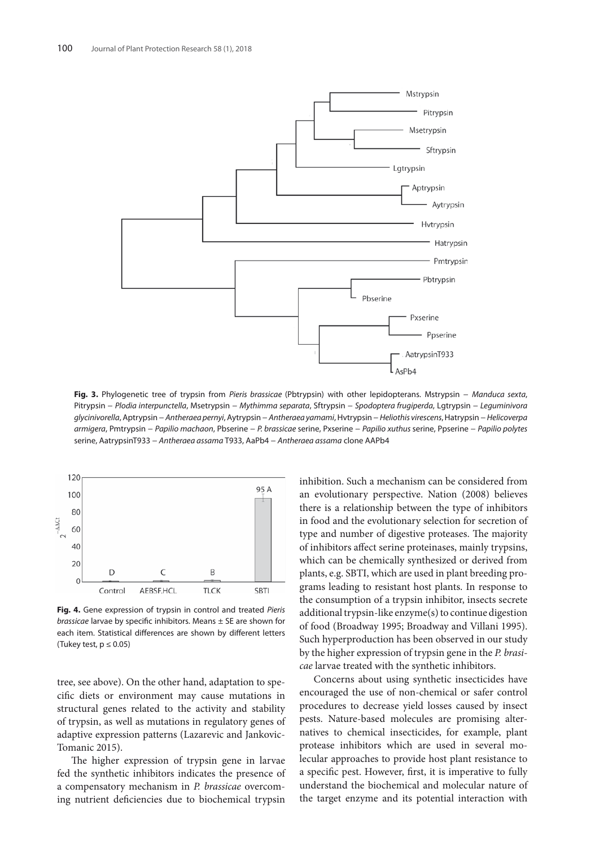

**Fig. 3.** Phylogenetic tree of trypsin from *Pieris brassicae* (Pbtrypsin) with other lepidopterans. Mstrypsin − *Manduca sexta*, Pitrypsin − *Plodia interpunctella*, Msetrypsin − *Mythimma separata*, Sftrypsin − *Spodoptera frugiperda*, Lgtrypsin − *Leguminivora glycinivorella*, Aptrypsin − *Antheraea pernyi*, Aytrypsin − *Antheraea yamami*, Hvtrypsin − *Heliothis virescens*,Hatrypsin − *Helicoverpa armigera*, Pmtrypsin − *Papilio machaon*, Pbserine − *P. brassicae* serine, Pxserine − *Papilio xuthus* serine, Ppserine − *Papilio polytes*  serine, AatrypsinT933 − *Antheraea assama* T933, AaPb4 − *Antheraea assama* clone AAPb4



**Fig. 4.** Gene expression of trypsin in control and treated *Pieris brassicae* larvae by specific inhibitors. Means ± SE are shown for each item. Statistical differences are shown by different letters (Tukey test,  $p \le 0.05$ )

tree, see above). On the other hand, adaptation to specific diets or environment may cause mutations in structural genes related to the activity and stability of trypsin, as well as mutations in regulatory genes of adaptive expression patterns (Lazarevic and Jankovic-Tomanic 2015).

The higher expression of trypsin gene in larvae fed the synthetic inhibitors indicates the presence of a compensatory mechanism in *P. brassicae* overcoming nutrient deficiencies due to biochemical trypsin

inhibition. Such a mechanism can be considered from an evolutionary perspective. Nation (2008) believes there is a relationship between the type of inhibitors in food and the evolutionary selection for secretion of type and number of digestive proteases. The majority of inhibitors affect serine proteinases, mainly trypsins, which can be chemically synthesized or derived from plants, e.g. SBTI, which are used in plant breeding programs leading to resistant host plants. In response to the consumption of a trypsin inhibitor, insects secrete additional trypsin-like enzyme(s) to continue digestion of food (Broadway 1995; Broadway and Villani 1995). Such hyperproduction has been observed in our study by the higher expression of trypsin gene in the *P. brasicae* larvae treated with the synthetic inhibitors.

Concerns about using synthetic insecticides have encouraged the use of non-chemical or safer control procedures to decrease yield losses caused by insect pests. Nature-based molecules are promising alternatives to chemical insecticides, for example, plant protease inhibitors which are used in several molecular approaches to provide host plant resistance to a specific pest. However, first, it is imperative to fully understand the biochemical and molecular nature of the target enzyme and its potential interaction with